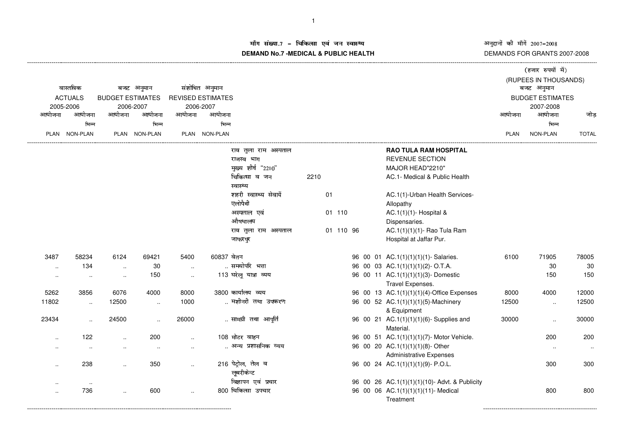अनुदानों की माँगें 2007–2008<br>DEMANDS FOR GRANTS 2007-2008

---------------------------------------------------------

## म संख्या.7 – चिकित्सा एवं जन स्वास्थ्य<br>IAND N- 7 MEDIOAL 8 DUDLIO UEALTIL **DEMAND No.7 -MEDICAL & PUBLIC HEALTH**

----------------------------------------------------------------------------------------------------------------------------------------------------------------------------------------------------------------------------------------------------------------------------------------------

|                                         |                      |                                       |                      |                          |                |                        |      |           |  |                       |                                               |            | (हजार रुपयों में) |                         |  |
|-----------------------------------------|----------------------|---------------------------------------|----------------------|--------------------------|----------------|------------------------|------|-----------|--|-----------------------|-----------------------------------------------|------------|-------------------|-------------------------|--|
|                                         |                      |                                       |                      |                          |                |                        |      |           |  | (RUPEES IN THOUSANDS) |                                               |            |                   |                         |  |
| वास्तविक<br><b>ACTUALS</b><br>2005-2006 |                      | बजट अनुमान<br><b>BUDGET ESTIMATES</b> |                      |                          | संशोधित अनुमान |                        |      |           |  |                       |                                               | बजट अनुमान |                   |                         |  |
|                                         |                      |                                       |                      | <b>REVISED ESTIMATES</b> |                |                        |      |           |  |                       |                                               |            |                   | <b>BUDGET ESTIMATES</b> |  |
|                                         |                      |                                       | 2006-2007            | 2006-2007                |                |                        |      |           |  |                       |                                               | 2007-2008  |                   |                         |  |
| आयोजना                                  | आयोजना               | आयोजना                                | आयोजना               | आयोजना                   | आयोजना         |                        |      |           |  |                       |                                               | आयोजना     | आयोजना            | जोड                     |  |
|                                         | भिन्न                |                                       | भिन्न                |                          | भिन्न          |                        |      |           |  |                       |                                               |            | भिन्न             |                         |  |
|                                         | PLAN NON-PLAN        |                                       | PLAN NON-PLAN        |                          | PLAN NON-PLAN  |                        |      |           |  |                       |                                               | PLAN       | NON-PLAN          | <b>TOTAL</b>            |  |
|                                         |                      |                                       |                      |                          |                | राव तुला राम अस्पताल   |      |           |  |                       | RAO TULA RAM HOSPITAL                         |            |                   |                         |  |
|                                         |                      |                                       |                      |                          |                | राजस्व भाग             |      |           |  |                       | <b>REVENUE SECTION</b>                        |            |                   |                         |  |
|                                         |                      |                                       |                      |                          |                | मुख्य शीर्ष "2210"     |      |           |  |                       | MAJOR HEAD"2210"                              |            |                   |                         |  |
|                                         |                      |                                       |                      |                          |                | चिकित्सा व जन          | 2210 |           |  |                       | AC.1- Medical & Public Health                 |            |                   |                         |  |
|                                         |                      |                                       |                      |                          |                | स्वास्थ्य              |      |           |  |                       |                                               |            |                   |                         |  |
|                                         |                      |                                       |                      |                          |                | शहरी स्वास्थ्य सेवायें |      | 01        |  |                       | AC.1(1)-Urban Health Services-                |            |                   |                         |  |
|                                         |                      |                                       |                      |                          |                | एलोपैथी                |      |           |  |                       | Allopathy                                     |            |                   |                         |  |
|                                         |                      |                                       |                      |                          |                | अस्पताल एवं            |      | 01 110    |  |                       | AC.1(1)(1)- Hospital &                        |            |                   |                         |  |
|                                         |                      |                                       |                      |                          |                | औषधालय                 |      |           |  |                       | Dispensaries.                                 |            |                   |                         |  |
|                                         |                      |                                       |                      |                          |                | राव तुला राम अस्पताल   |      | 01 110 96 |  |                       | AC.1(1)(1)(1)- Rao Tula Ram                   |            |                   |                         |  |
|                                         |                      |                                       |                      |                          |                | जाफरपुर                |      |           |  |                       | Hospital at Jaffar Pur.                       |            |                   |                         |  |
| 3487                                    | 58234                | 6124                                  | 69421                | 5400                     | 60837 वेतन     |                        |      |           |  |                       | 96 00 01 AC.1(1)(1)(1)(1)- Salaries.          | 6100       | 71905             | 78005                   |  |
| $\ddotsc$                               | 134                  | $\sim$                                | 30                   | $\sim$                   |                | समयोपरि भत्ता          |      |           |  |                       | 96 00 03 AC.1(1)(1)(1)(2)-O.T.A.              |            | 30                | 30                      |  |
| $\sim$                                  | $\sim$               | $\cdot$ .                             | 150                  | $\ddot{\phantom{a}}$     |                | 113 घरेलू यात्रा व्यय  |      |           |  |                       | 96 00 11 AC.1(1)(1)(1)(3)-Domestic            |            | 150               | 150                     |  |
|                                         |                      |                                       |                      |                          |                |                        |      |           |  |                       | Travel Expenses.                              |            |                   |                         |  |
| 5262                                    | 3856                 | 6076                                  | 4000                 | 8000                     |                | 3800 कार्यालय व्यय     |      |           |  |                       | 96 00 13 AC.1(1)(1)(1)(4)-Office Expenses     | 8000       | 4000              | 12000                   |  |
| 11802                                   | $\ldots$             | 12500                                 | $\ddotsc$            | 1000                     |                | मशीनरी तथा उपकरण       |      |           |  |                       | 96 00 52 AC.1(1)(1)(1)(5)-Machinery           | 12500      | $\ddotsc$         | 12500                   |  |
|                                         |                      |                                       |                      |                          |                |                        |      |           |  |                       | & Equipment                                   |            |                   |                         |  |
| 23434                                   | $\ddots$             | 24500                                 | $\ddot{\phantom{a}}$ | 26000                    |                | सामग्री तथा आपूर्ति    |      |           |  |                       | 96 00 21 AC.1(1)(1)(1)(6)- Supplies and       | 30000      | $\ddotsc$         | 30000                   |  |
|                                         |                      |                                       |                      |                          |                |                        |      |           |  |                       | Material.                                     |            |                   |                         |  |
| $\ddotsc$                               | 122                  | $\sim$                                | 200                  | $\ddot{\phantom{a}}$     |                | 108 मोटर वाहन          |      |           |  |                       | 96 00 51 AC.1(1)(1)(1)(7)- Motor Vehicle.     |            | 200               | 200                     |  |
|                                         | $\ddot{\phantom{a}}$ | $\ddotsc$                             | $\ddot{\phantom{a}}$ |                          |                | अन्य प्रशासनिक व्यय    |      |           |  |                       | 96 00 20 AC.1(1)(1)(1)(8)-Other               |            | $\ddotsc$         | $\ldots$                |  |
|                                         |                      |                                       |                      |                          |                |                        |      |           |  |                       | <b>Administrative Expenses</b>                |            |                   |                         |  |
| $\ddot{\phantom{a}}$                    | 238                  | $\sim$                                | 350                  | $\ddotsc$                |                | 216 पेट्रोल, तेल व     |      |           |  |                       | 96 00 24 AC.1(1)(1)(1)(9)- P.O.L.             |            | 300               | 300                     |  |
|                                         |                      |                                       |                      |                          |                | लुबरीकेन्ट             |      |           |  |                       |                                               |            |                   |                         |  |
|                                         | $\cdot$ .            |                                       |                      |                          |                | विज्ञापन एवं प्रचार    |      |           |  |                       | 96 00 26 AC.1(1)(1)(1)(10)- Advt. & Publicity |            |                   |                         |  |
| $\cdot$                                 | 736                  | $\ddot{\phantom{a}}$                  | 600                  | $\ddotsc$                |                | 800 चिकित्सा उपचार     |      |           |  |                       | 96 00 06 AC.1(1)(1)(1)(11)- Medical           |            | 800               | 800                     |  |
|                                         |                      |                                       |                      |                          |                |                        |      |           |  |                       | Treatment                                     |            |                   |                         |  |

------------------------------------------------------------------------------------------------------